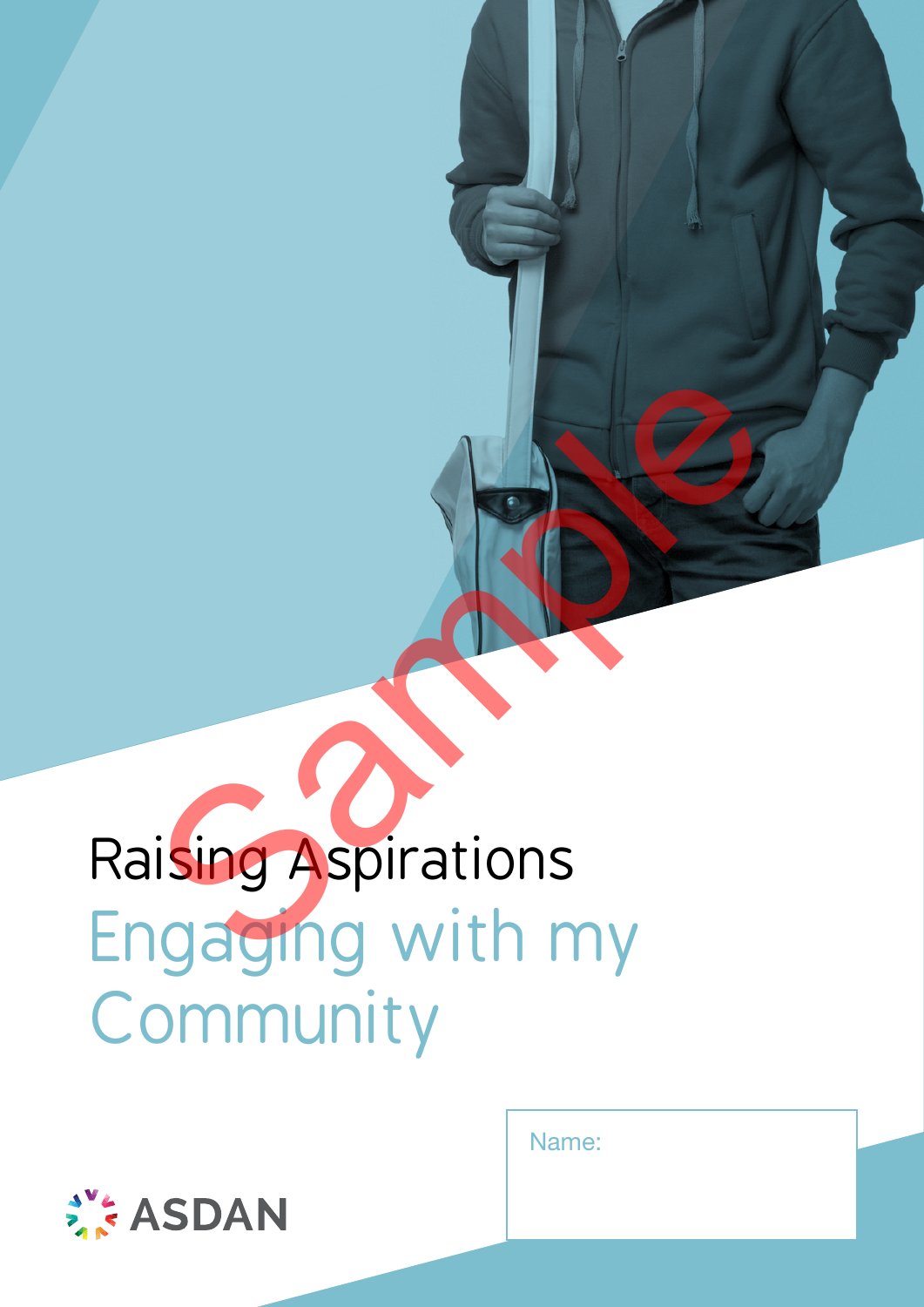# Raising Aspirations Engaging with my Community Sample of the Contract of the Contract of the Contract of the Contract of the Contract of the Contract of the Contract of the Contract of the Contract of the Contract of the Contract of the Contract of the Contract of the

Name:

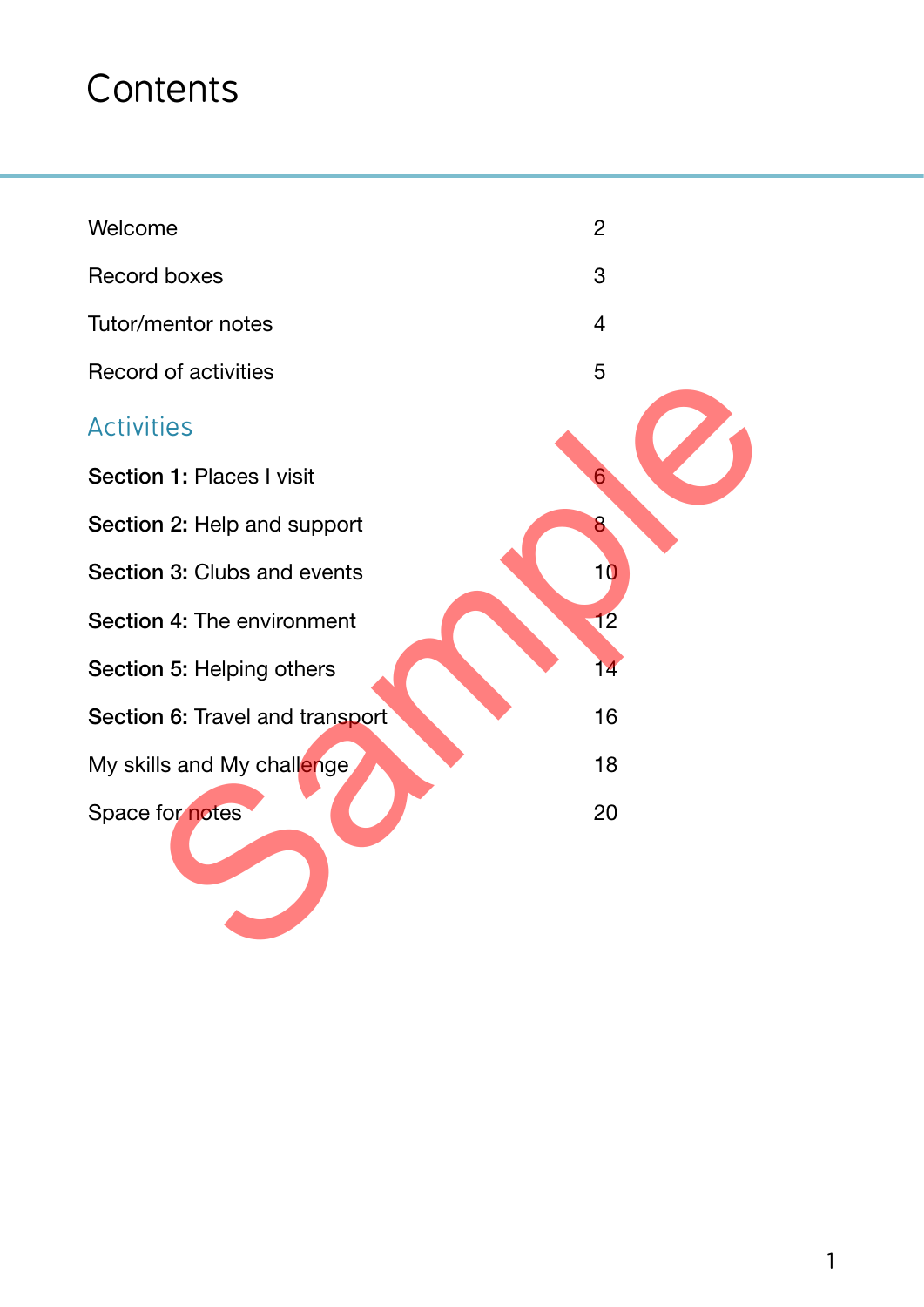## **Contents**

| Welcome                         | $\overline{2}$ |
|---------------------------------|----------------|
| <b>Record boxes</b>             | 3              |
| Tutor/mentor notes              | $\overline{4}$ |
| <b>Record of activities</b>     | 5              |
| <b>Activities</b>               |                |
| Section 1: Places I visit       |                |
| Section 2: Help and support     | 8              |
| Section 3: Clubs and events     | 10             |
| Section 4: The environment      | 12             |
| Section 5: Helping others       | 14             |
| Section 6: Travel and transport | 16             |
| My skills and My challenge      | 18             |
| Space for notes                 | 20             |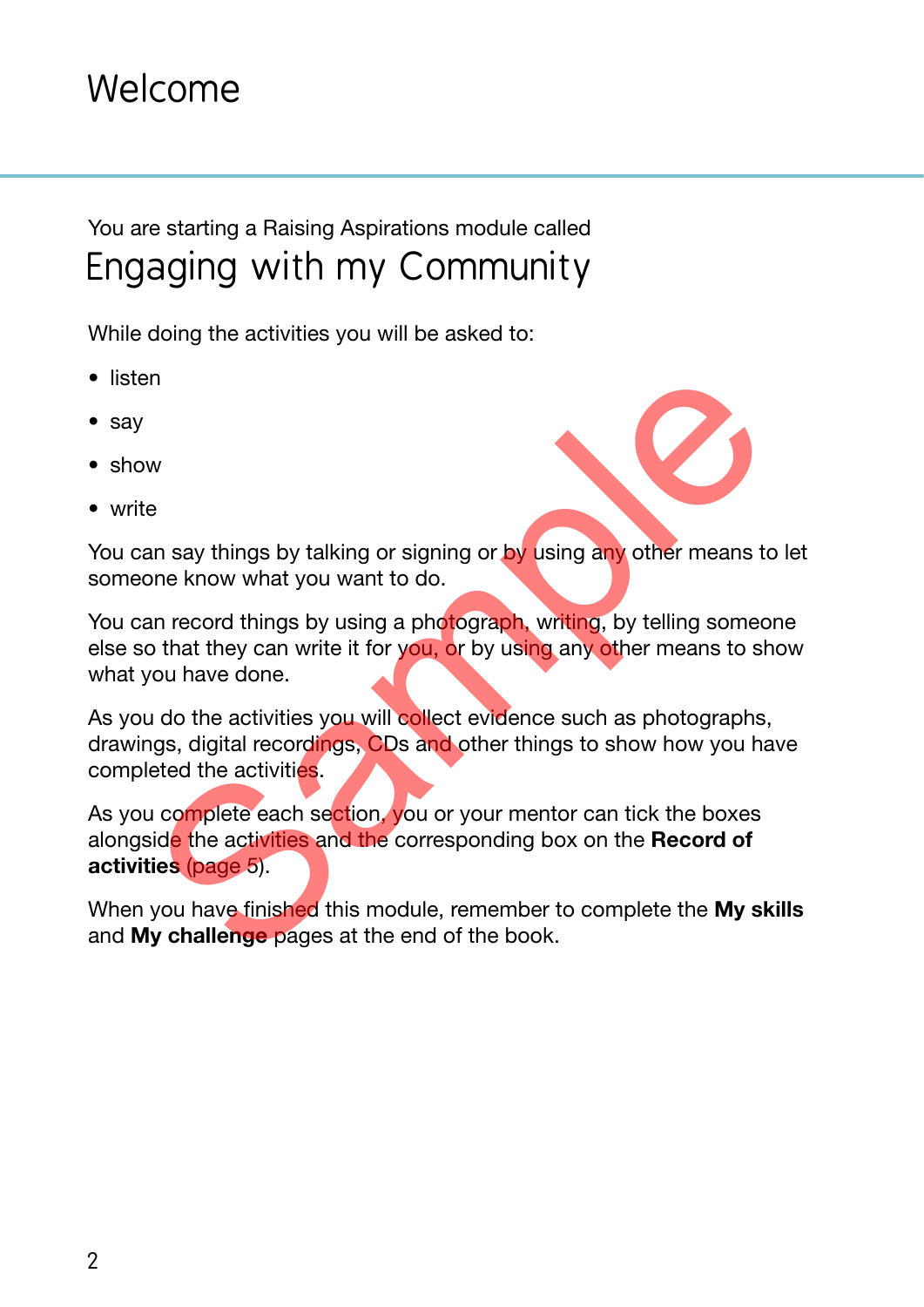#### Welcome

#### You are starting a Raising Aspirations module called Engaging with my Community

While doing the activities you will be asked to:

- listen
- say
- show
- write

You can say things by talking or signing or by using any other means to let someone know what you want to do.

You can record things by using a photograph, writing, by telling someone else so that they can write it for you, or by using any other means to show what you have done.

As you do the activities you will collect evidence such as photographs, drawings, digital recordings, CDs and other things to show how you have completed the activities.

As you complete each section, you or your mentor can tick the boxes alongside the activities and the corresponding box on the Record of activities (page 5). w<br>
w<br>
e<br>
an say things by talking or signing or by using any other means to<br>
the know what you want to do.<br>
an record things by using a photograph, writing, by telling some<br>
o that they can write it for you, or by using an

When you have finished this module, remember to complete the My skills and My challenge pages at the end of the book.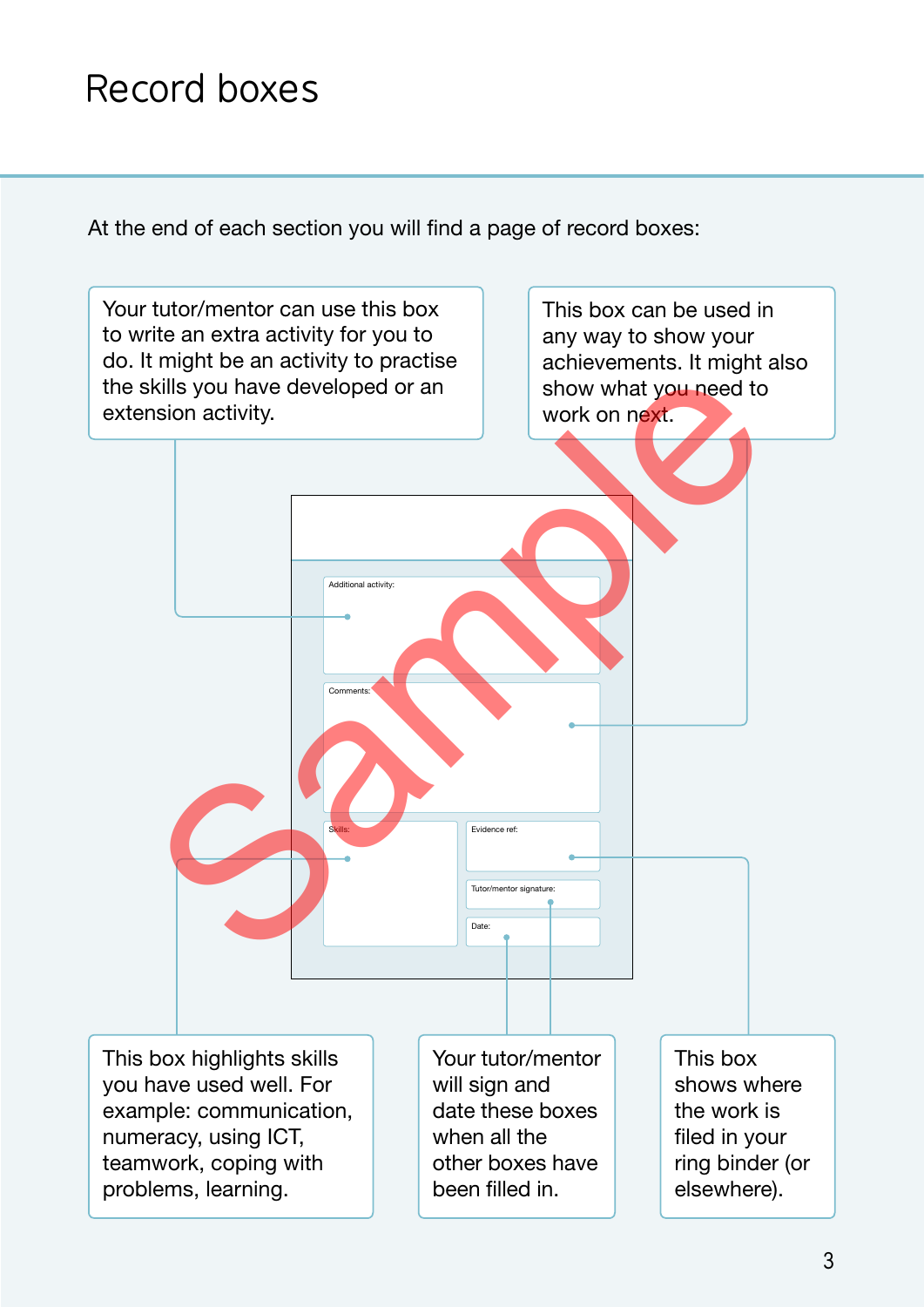### Record boxes

At the end of each section you will find a page of record boxes:

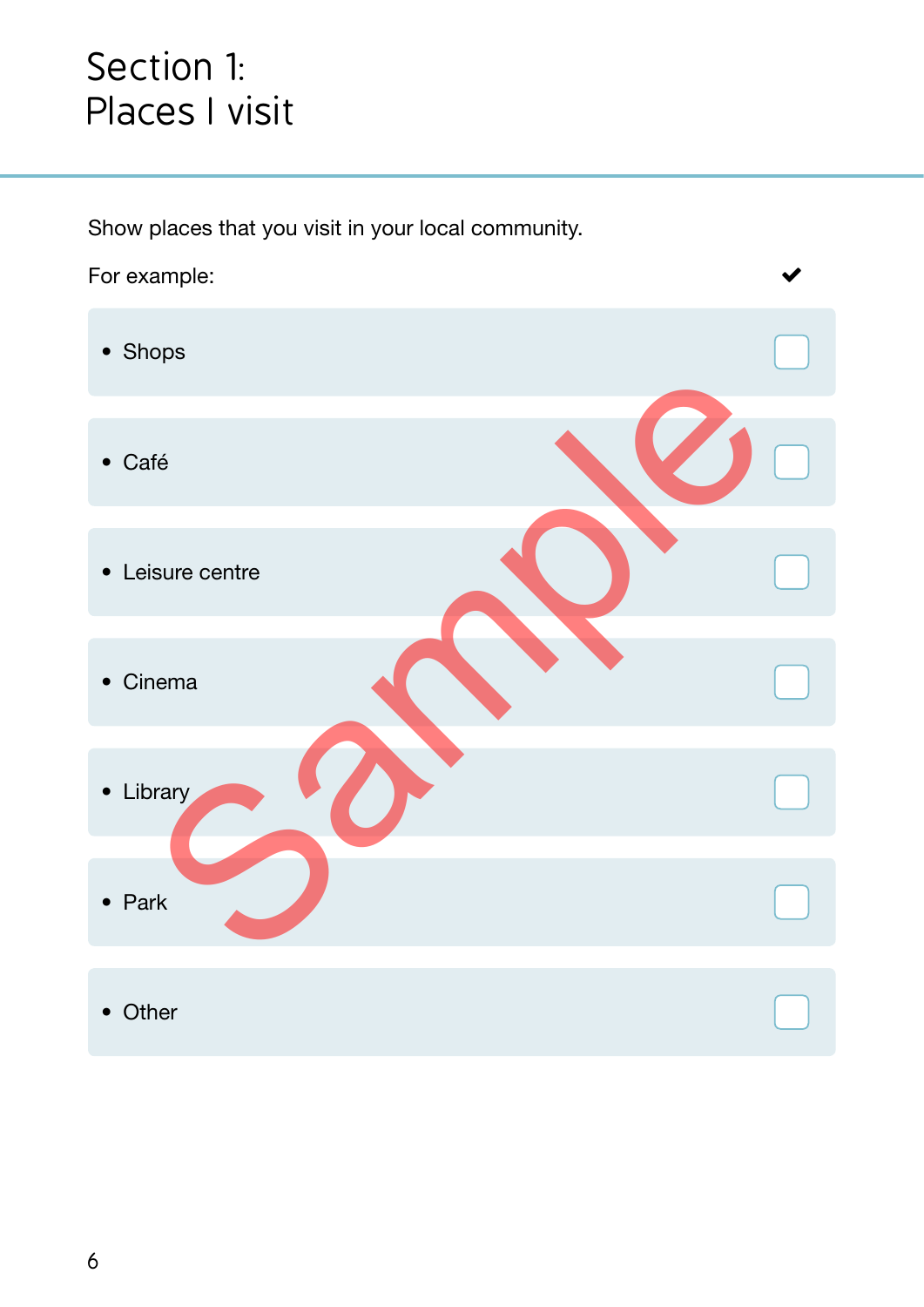#### Section 1: Places I visit

Show places that you visit in your local community.



• Other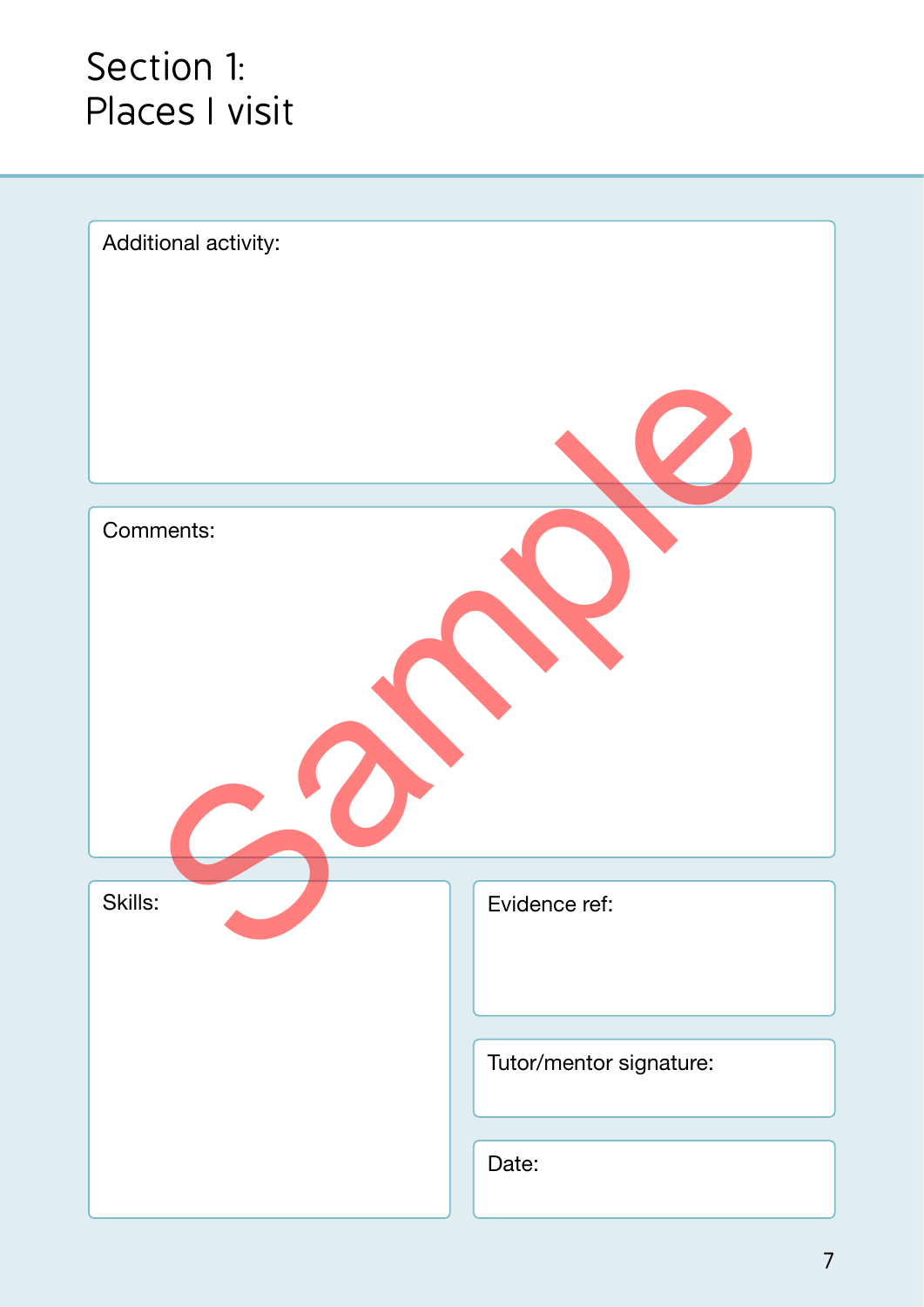#### Section 1: Places I visit

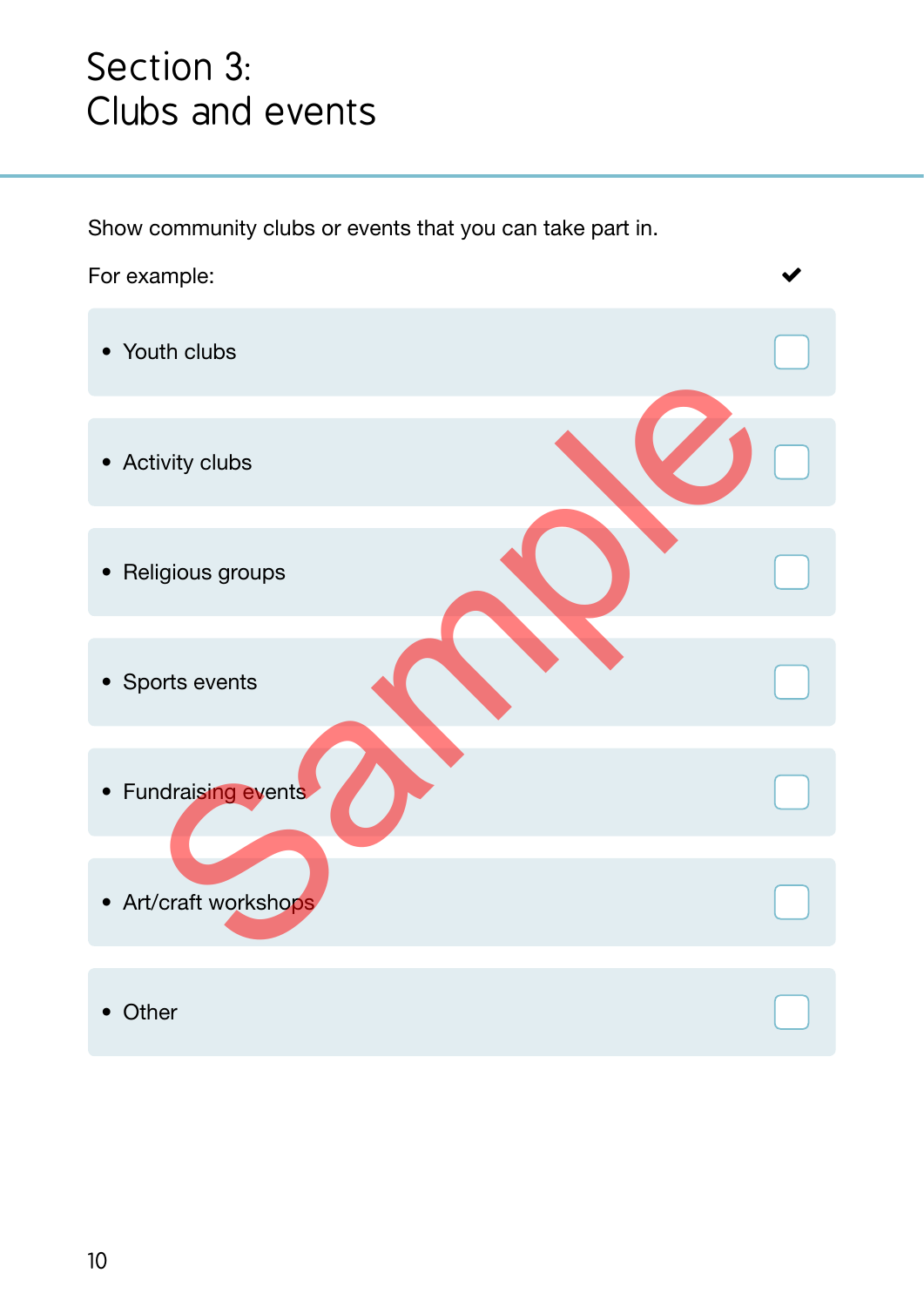#### Section 3: Clubs and events

Show community clubs or events that you can take part in.

For example:

- Youth clubs
- Activity clubs
- Religious groups
- Sports events
- Fundraising events
- Art/craft workshops tivity clubs<br>
Sample Scribes Scribes Scribes Scribes Scribes Scribes Scribes Scribes Scribes Scribes Scribes Scribes Scribes Scribes Scribes Scribes Scribes Scribes Scribes Scribes Scribes Scribes Scribes Scribes Scribes S
- Other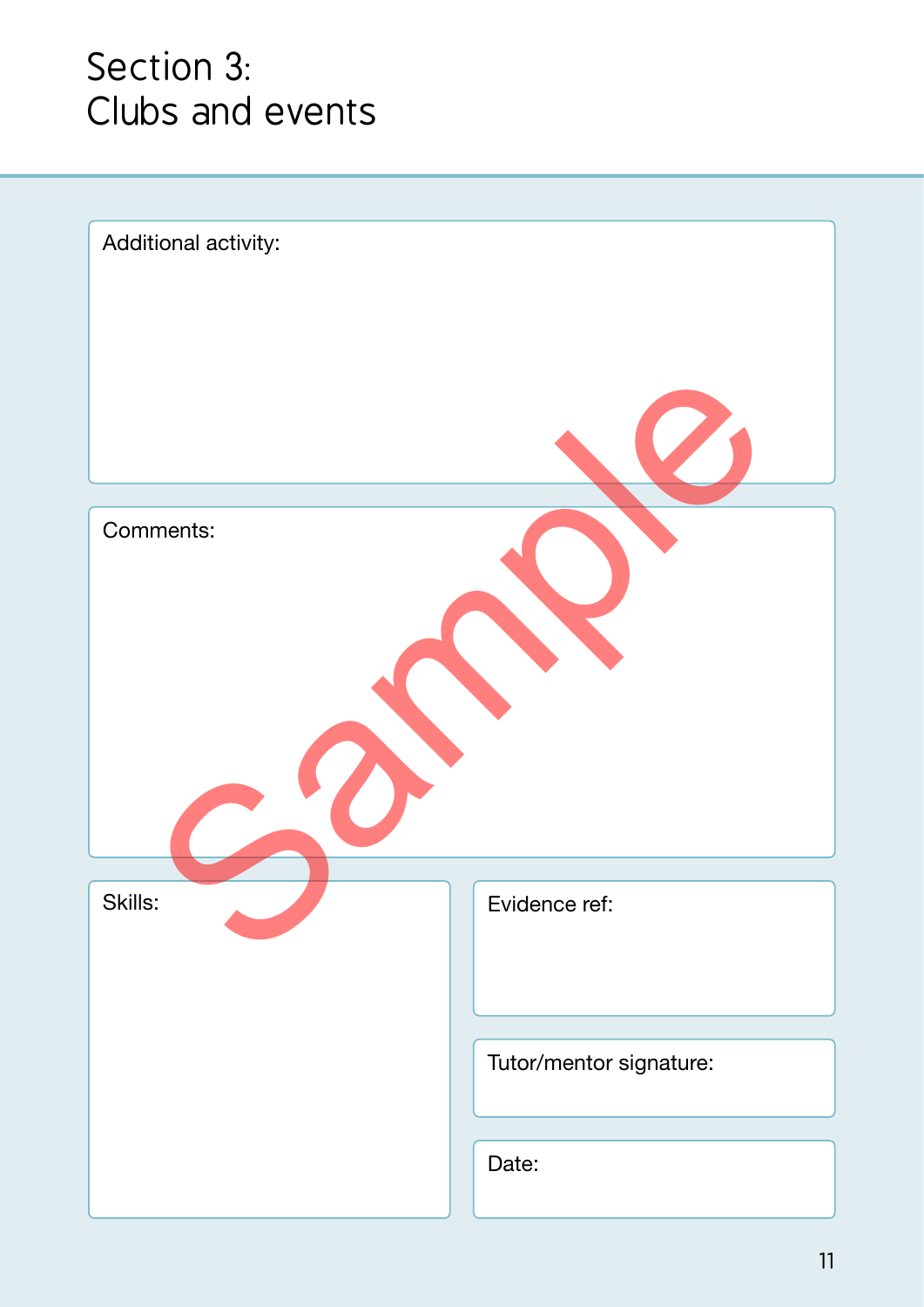#### Section 3: Clubs and events

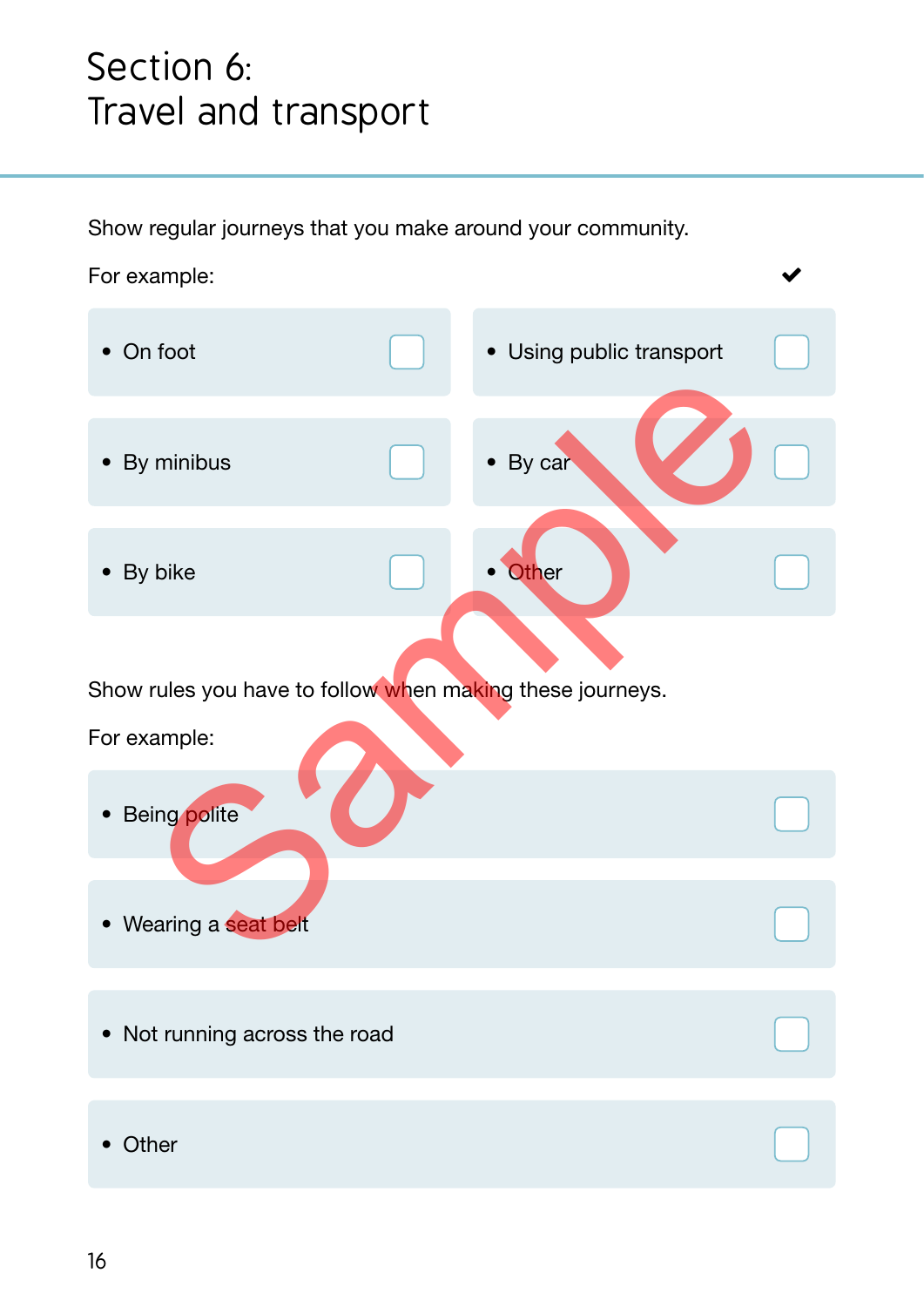#### Section 6: Travel and transport

Show regular journeys that you make around your community.

For example:

• On foot • By minibus • Using public transport • By car • By bike **• Other** minibus<br>bike<br>rules you have to follow when making these journeys.<br>ample:<br>ing polite

 $\blacktriangledown$ 

Show rules you have to follow when making these journeys.

For example:

- Being polite
- Wearing a seat belt
- Not running across the road
- Other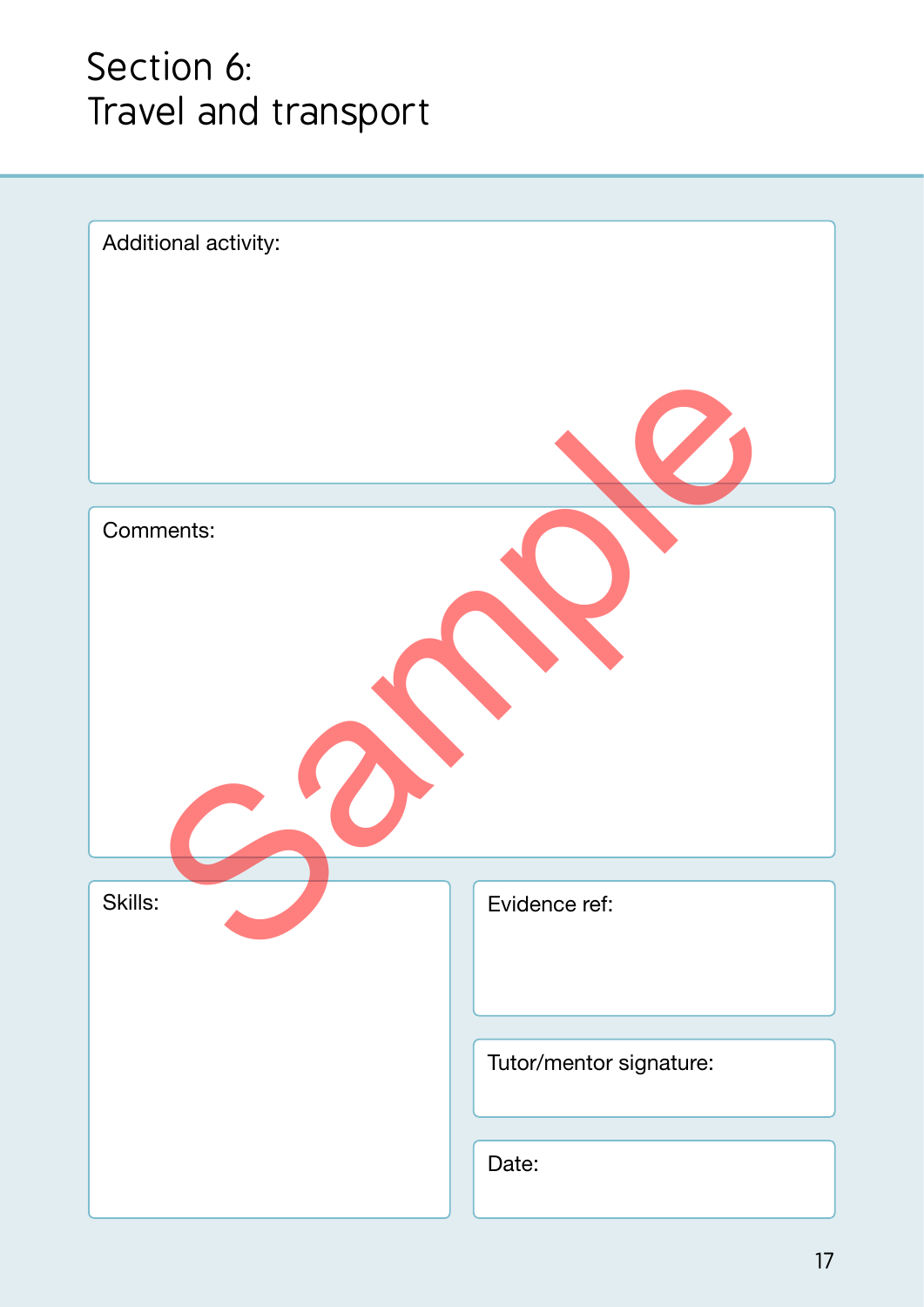#### Section 6: Travel and transport

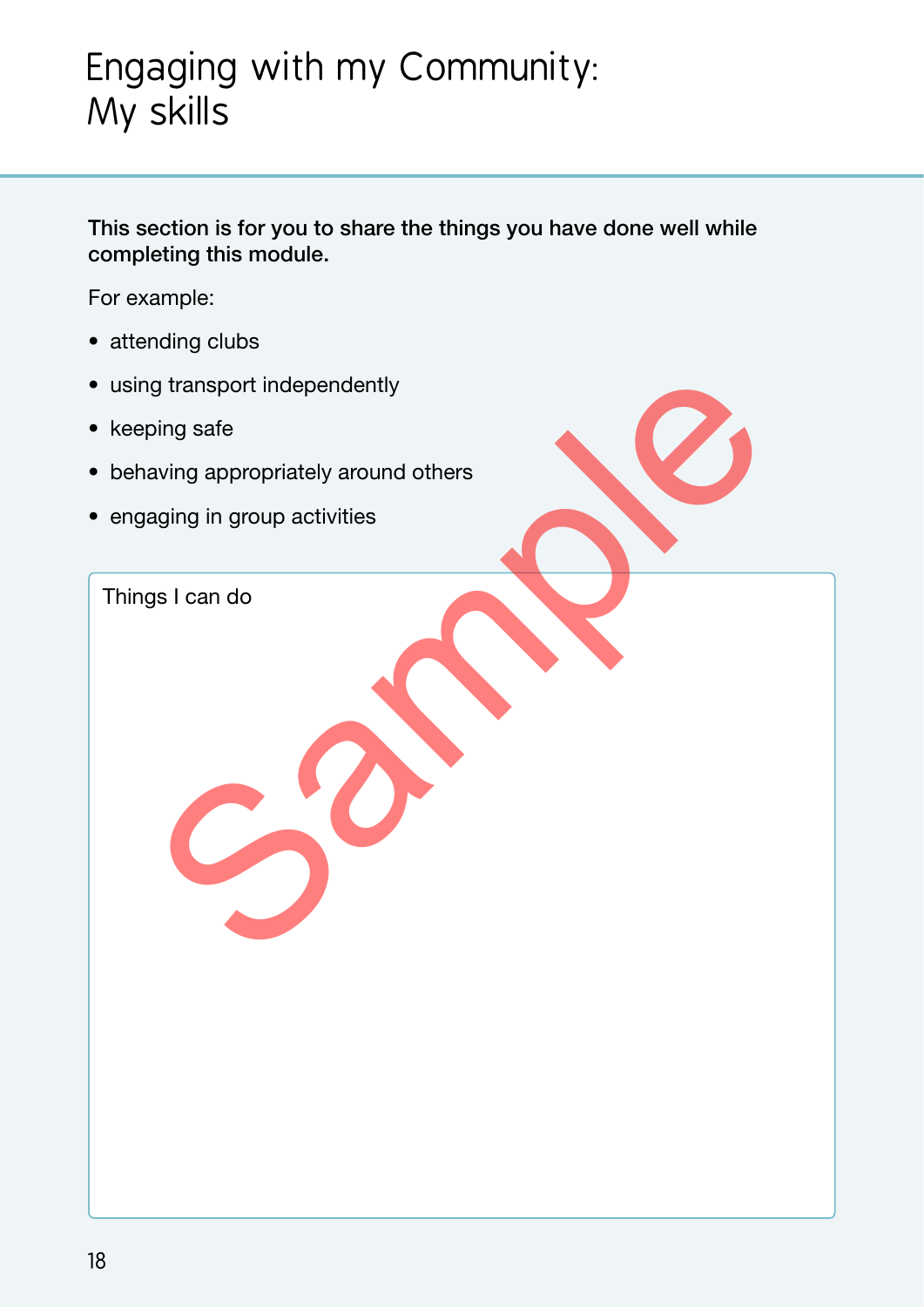### Engaging with my Community: My skills

This section is for you to share the things you have done well while completing this module.

For example:

- attending clubs
- using transport independently
- keeping safe
- behaving appropriately around others propriately around others<br>aging in group activities<br>aging in group activities<br>as I can do
- engaging in group activities

Things I can do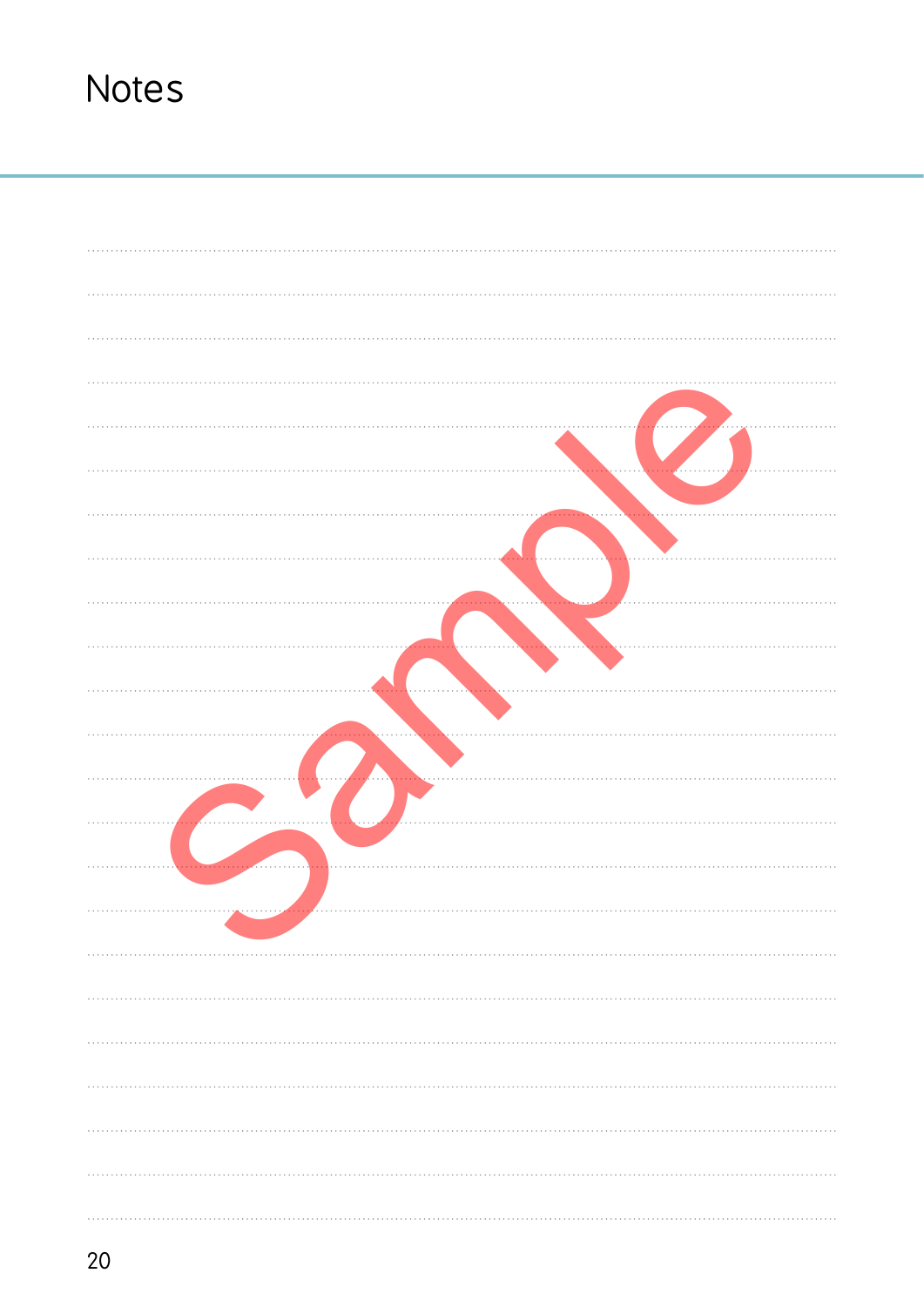| . |
|---|
| . |